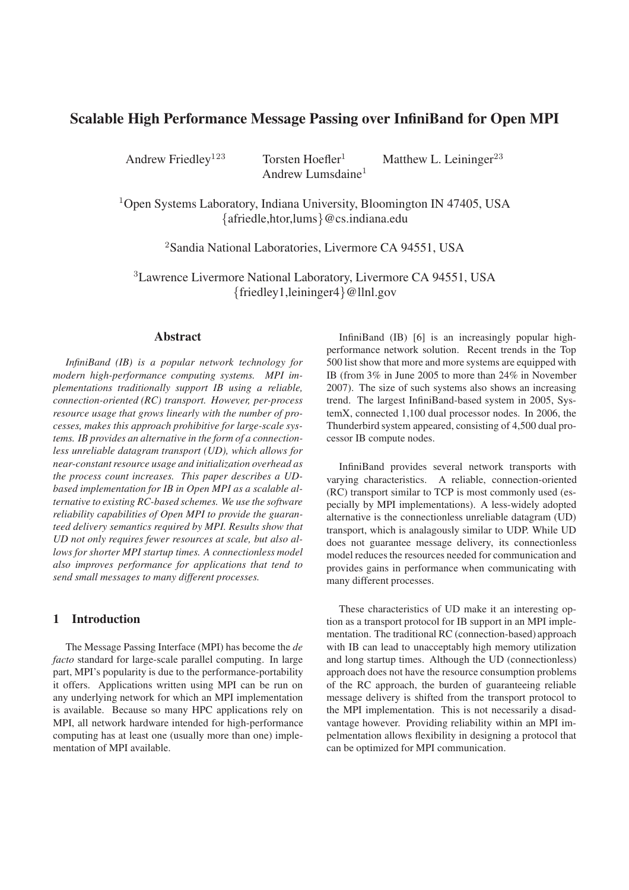# **Scalable High Performance Message Passing over InfiniBand for Open MPI**

Andrew Lumsdaine<sup>1</sup>

Andrew Friedley<sup>123</sup> Torsten Hoefler<sup>1</sup> Matthew L. Leininger<sup>23</sup>

 $1$ Open Systems Laboratory, Indiana University, Bloomington IN 47405, USA {afriedle,htor,lums}@cs.indiana.edu

<sup>2</sup>Sandia National Laboratories, Livermore CA 94551, USA

<sup>3</sup>Lawrence Livermore National Laboratory, Livermore CA 94551, USA {friedley1,leininger4}@llnl.gov

## **Abstract**

*InfiniBand (IB) is a popular network technology for modern high-performance computing systems. MPI implementations traditionally support IB using a reliable, connection-oriented (RC) transport. However, per-process resource usage that grows linearly with the number of processes, makes this approach prohibitive for large-scale systems. IB provides an alternative in the form of a connectionless unreliable datagram transport (UD), which allows for near-constant resource usage and initialization overhead as the process count increases. This paper describes a UDbased implementation for IB in Open MPI as a scalable alternative to existing RC-based schemes. We use the software reliability capabilities of Open MPI to provide the guaranteed delivery semantics required by MPI. Results show that UD not only requires fewer resources at scale, but also allows for shorter MPI startup times. A connectionless model also improves performance for applications that tend to send small messages to many different processes.*

# **1 Introduction**

The Message Passing Interface (MPI) has become the *de facto* standard for large-scale parallel computing. In large part, MPI's popularity is due to the performance-portability it offers. Applications written using MPI can be run on any underlying network for which an MPI implementation is available. Because so many HPC applications rely on MPI, all network hardware intended for high-performance computing has at least one (usually more than one) implementation of MPI available.

InfiniBand (IB) [6] is an increasingly popular highperformance network solution. Recent trends in the Top 500 list show that more and more systems are equipped with IB (from 3% in June 2005 to more than 24% in November 2007). The size of such systems also shows an increasing trend. The largest InfiniBand-based system in 2005, SystemX, connected 1,100 dual processor nodes. In 2006, the Thunderbird system appeared, consisting of 4,500 dual processor IB compute nodes.

InfiniBand provides several network transports with varying characteristics. A reliable, connection-oriented (RC) transport similar to TCP is most commonly used (especially by MPI implementations). A less-widely adopted alternative is the connectionless unreliable datagram (UD) transport, which is analagously similar to UDP. While UD does not guarantee message delivery, its connectionless model reduces the resources needed for communication and provides gains in performance when communicating with many different processes.

These characteristics of UD make it an interesting option as a transport protocol for IB support in an MPI implementation. The traditional RC (connection-based) approach with IB can lead to unacceptably high memory utilization and long startup times. Although the UD (connectionless) approach does not have the resource consumption problems of the RC approach, the burden of guaranteeing reliable message delivery is shifted from the transport protocol to the MPI implementation. This is not necessarily a disadvantage however. Providing reliability within an MPI impelmentation allows flexibility in designing a protocol that can be optimized for MPI communication.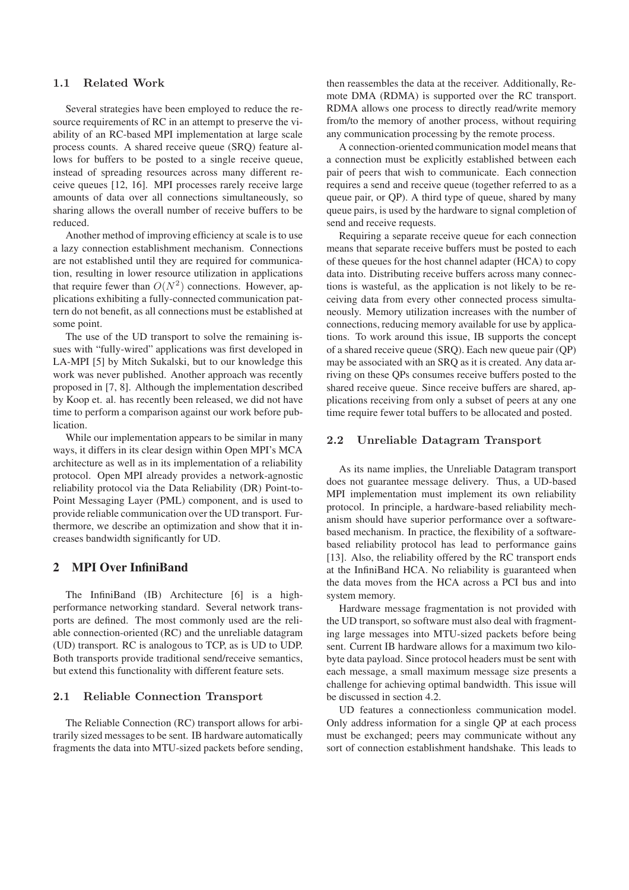### 1.1 Related Work

Several strategies have been employed to reduce the resource requirements of RC in an attempt to preserve the viability of an RC-based MPI implementation at large scale process counts. A shared receive queue (SRQ) feature allows for buffers to be posted to a single receive queue, instead of spreading resources across many different receive queues [12, 16]. MPI processes rarely receive large amounts of data over all connections simultaneously, so sharing allows the overall number of receive buffers to be reduced.

Another method of improving efficiency at scale is to use a lazy connection establishment mechanism. Connections are not established until they are required for communication, resulting in lower resource utilization in applications that require fewer than  $O(N^2)$  connections. However, applications exhibiting a fully-connected communication pattern do not benefit, as all connections must be established at some point.

The use of the UD transport to solve the remaining issues with "fully-wired" applications was first developed in LA-MPI [5] by Mitch Sukalski, but to our knowledge this work was never published. Another approach was recently proposed in [7, 8]. Although the implementation described by Koop et. al. has recently been released, we did not have time to perform a comparison against our work before publication.

While our implementation appears to be similar in many ways, it differs in its clear design within Open MPI's MCA architecture as well as in its implementation of a reliability protocol. Open MPI already provides a network-agnostic reliability protocol via the Data Reliability (DR) Point-to-Point Messaging Layer (PML) component, and is used to provide reliable communication over the UD transport. Furthermore, we describe an optimization and show that it increases bandwidth significantly for UD.

## **2 MPI Over InfiniBand**

The InfiniBand (IB) Architecture [6] is a highperformance networking standard. Several network transports are defined. The most commonly used are the reliable connection-oriented (RC) and the unreliable datagram (UD) transport. RC is analogous to TCP, as is UD to UDP. Both transports provide traditional send/receive semantics, but extend this functionality with different feature sets.

### 2.1 Reliable Connection Transport

The Reliable Connection (RC) transport allows for arbitrarily sized messages to be sent. IB hardware automatically fragments the data into MTU-sized packets before sending, then reassembles the data at the receiver. Additionally, Remote DMA (RDMA) is supported over the RC transport. RDMA allows one process to directly read/write memory from/to the memory of another process, without requiring any communication processing by the remote process.

A connection-oriented communication model means that a connection must be explicitly established between each pair of peers that wish to communicate. Each connection requires a send and receive queue (together referred to as a queue pair, or QP). A third type of queue, shared by many queue pairs, is used by the hardware to signal completion of send and receive requests.

Requiring a separate receive queue for each connection means that separate receive buffers must be posted to each of these queues for the host channel adapter (HCA) to copy data into. Distributing receive buffers across many connections is wasteful, as the application is not likely to be receiving data from every other connected process simultaneously. Memory utilization increases with the number of connections, reducing memory available for use by applications. To work around this issue, IB supports the concept of a shared receive queue (SRQ). Each new queue pair (QP) may be associated with an SRQ as it is created. Any data arriving on these QPs consumes receive buffers posted to the shared receive queue. Since receive buffers are shared, applications receiving from only a subset of peers at any one time require fewer total buffers to be allocated and posted.

#### 2.2 Unreliable Datagram Transport

As its name implies, the Unreliable Datagram transport does not guarantee message delivery. Thus, a UD-based MPI implementation must implement its own reliability protocol. In principle, a hardware-based reliability mechanism should have superior performance over a softwarebased mechanism. In practice, the flexibility of a softwarebased reliability protocol has lead to performance gains [13]. Also, the reliability offered by the RC transport ends at the InfiniBand HCA. No reliability is guaranteed when the data moves from the HCA across a PCI bus and into system memory.

Hardware message fragmentation is not provided with the UD transport, so software must also deal with fragmenting large messages into MTU-sized packets before being sent. Current IB hardware allows for a maximum two kilobyte data payload. Since protocol headers must be sent with each message, a small maximum message size presents a challenge for achieving optimal bandwidth. This issue will be discussed in section 4.2.

UD features a connectionless communication model. Only address information for a single QP at each process must be exchanged; peers may communicate without any sort of connection establishment handshake. This leads to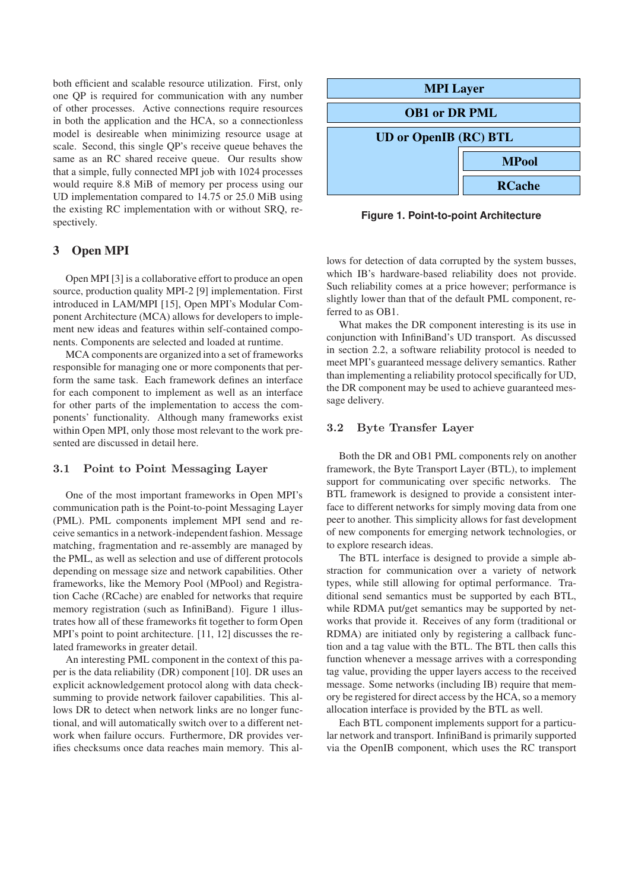both efficient and scalable resource utilization. First, only one QP is required for communication with any number of other processes. Active connections require resources in both the application and the HCA, so a connectionless model is desireable when minimizing resource usage at scale. Second, this single QP's receive queue behaves the same as an RC shared receive queue. Our results show that a simple, fully connected MPI job with 1024 processes would require 8.8 MiB of memory per process using our UD implementation compared to 14.75 or 25.0 MiB using the existing RC implementation with or without SRQ, respectively.

## **3 Open MPI**

Open MPI [3] is a collaborative effort to produce an open source, production quality MPI-2 [9] implementation. First introduced in LAM/MPI [15], Open MPI's Modular Component Architecture (MCA) allows for developers to implement new ideas and features within self-contained components. Components are selected and loaded at runtime.

MCA components are organized into a set of frameworks responsible for managing one or more components that perform the same task. Each framework defines an interface for each component to implement as well as an interface for other parts of the implementation to access the components' functionality. Although many frameworks exist within Open MPI, only those most relevant to the work presented are discussed in detail here.

## 3.1 Point to Point Messaging Layer

One of the most important frameworks in Open MPI's communication path is the Point-to-point Messaging Layer (PML). PML components implement MPI send and receive semantics in a network-independent fashion. Message matching, fragmentation and re-assembly are managed by the PML, as well as selection and use of different protocols depending on message size and network capabilities. Other frameworks, like the Memory Pool (MPool) and Registration Cache (RCache) are enabled for networks that require memory registration (such as InfiniBand). Figure 1 illustrates how all of these frameworks fit together to form Open MPI's point to point architecture. [11, 12] discusses the related frameworks in greater detail.

An interesting PML component in the context of this paper is the data reliability (DR) component [10]. DR uses an explicit acknowledgement protocol along with data checksumming to provide network failover capabilities. This allows DR to detect when network links are no longer functional, and will automatically switch over to a different network when failure occurs. Furthermore, DR provides verifies checksums once data reaches main memory. This al-



**Figure 1. Point-to-point Architecture**

lows for detection of data corrupted by the system busses, which IB's hardware-based reliability does not provide. Such reliability comes at a price however; performance is slightly lower than that of the default PML component, referred to as OB1.

What makes the DR component interesting is its use in conjunction with InfiniBand's UD transport. As discussed in section 2.2, a software reliability protocol is needed to meet MPI's guaranteed message delivery semantics. Rather than implementing a reliability protocol specifically for UD, the DR component may be used to achieve guaranteed message delivery.

### 3.2 Byte Transfer Layer

Both the DR and OB1 PML components rely on another framework, the Byte Transport Layer (BTL), to implement support for communicating over specific networks. The BTL framework is designed to provide a consistent interface to different networks for simply moving data from one peer to another. This simplicity allows for fast development of new components for emerging network technologies, or to explore research ideas.

The BTL interface is designed to provide a simple abstraction for communication over a variety of network types, while still allowing for optimal performance. Traditional send semantics must be supported by each BTL, while RDMA put/get semantics may be supported by networks that provide it. Receives of any form (traditional or RDMA) are initiated only by registering a callback function and a tag value with the BTL. The BTL then calls this function whenever a message arrives with a corresponding tag value, providing the upper layers access to the received message. Some networks (including IB) require that memory be registered for direct access by the HCA, so a memory allocation interface is provided by the BTL as well.

Each BTL component implements support for a particular network and transport. InfiniBand is primarily supported via the OpenIB component, which uses the RC transport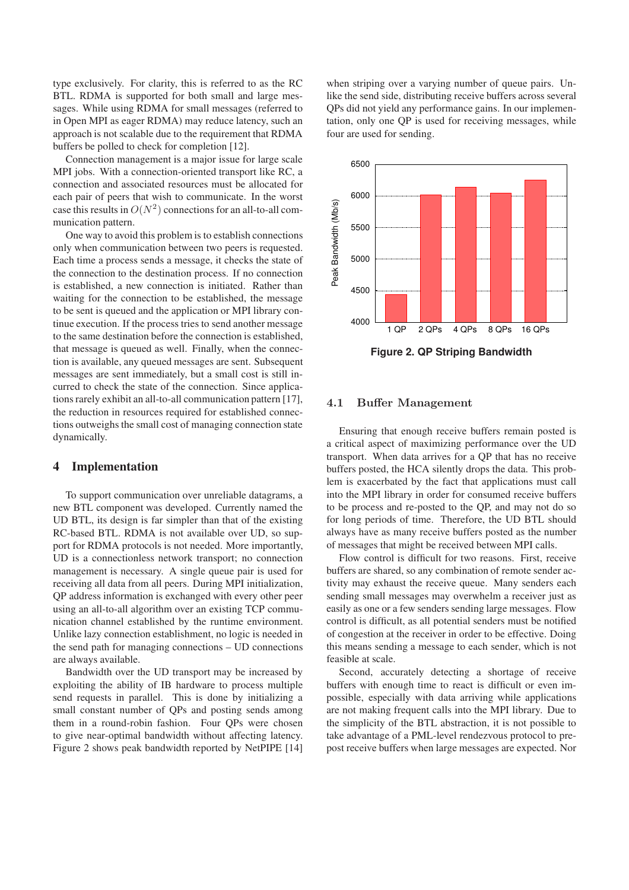type exclusively. For clarity, this is referred to as the RC BTL. RDMA is supported for both small and large messages. While using RDMA for small messages (referred to in Open MPI as eager RDMA) may reduce latency, such an approach is not scalable due to the requirement that RDMA buffers be polled to check for completion [12].

Connection management is a major issue for large scale MPI jobs. With a connection-oriented transport like RC, a connection and associated resources must be allocated for each pair of peers that wish to communicate. In the worst case this results in  $O(N^2)$  connections for an all-to-all communication pattern.

One way to avoid this problem is to establish connections only when communication between two peers is requested. Each time a process sends a message, it checks the state of the connection to the destination process. If no connection is established, a new connection is initiated. Rather than waiting for the connection to be established, the message to be sent is queued and the application or MPI library continue execution. If the process tries to send another message to the same destination before the connection is established, that message is queued as well. Finally, when the connection is available, any queued messages are sent. Subsequent messages are sent immediately, but a small cost is still incurred to check the state of the connection. Since applications rarely exhibit an all-to-all communication pattern [17], the reduction in resources required for established connections outweighs the small cost of managing connection state dynamically.

### **4 Implementation**

To support communication over unreliable datagrams, a new BTL component was developed. Currently named the UD BTL, its design is far simpler than that of the existing RC-based BTL. RDMA is not available over UD, so support for RDMA protocols is not needed. More importantly, UD is a connectionless network transport; no connection management is necessary. A single queue pair is used for receiving all data from all peers. During MPI initialization, QP address information is exchanged with every other peer using an all-to-all algorithm over an existing TCP communication channel established by the runtime environment. Unlike lazy connection establishment, no logic is needed in the send path for managing connections – UD connections are always available.

Bandwidth over the UD transport may be increased by exploiting the ability of IB hardware to process multiple send requests in parallel. This is done by initializing a small constant number of QPs and posting sends among them in a round-robin fashion. Four QPs were chosen to give near-optimal bandwidth without affecting latency. Figure 2 shows peak bandwidth reported by NetPIPE [14] when striping over a varying number of queue pairs. Unlike the send side, distributing receive buffers across several QPs did not yield any performance gains. In our implementation, only one QP is used for receiving messages, while four are used for sending.



**Figure 2. QP Striping Bandwidth**

### 4.1 Buffer Management

Ensuring that enough receive buffers remain posted is a critical aspect of maximizing performance over the UD transport. When data arrives for a QP that has no receive buffers posted, the HCA silently drops the data. This problem is exacerbated by the fact that applications must call into the MPI library in order for consumed receive buffers to be process and re-posted to the QP, and may not do so for long periods of time. Therefore, the UD BTL should always have as many receive buffers posted as the number of messages that might be received between MPI calls.

Flow control is difficult for two reasons. First, receive buffers are shared, so any combination of remote sender activity may exhaust the receive queue. Many senders each sending small messages may overwhelm a receiver just as easily as one or a few senders sending large messages. Flow control is difficult, as all potential senders must be notified of congestion at the receiver in order to be effective. Doing this means sending a message to each sender, which is not feasible at scale.

Second, accurately detecting a shortage of receive buffers with enough time to react is difficult or even impossible, especially with data arriving while applications are not making frequent calls into the MPI library. Due to the simplicity of the BTL abstraction, it is not possible to take advantage of a PML-level rendezvous protocol to prepost receive buffers when large messages are expected. Nor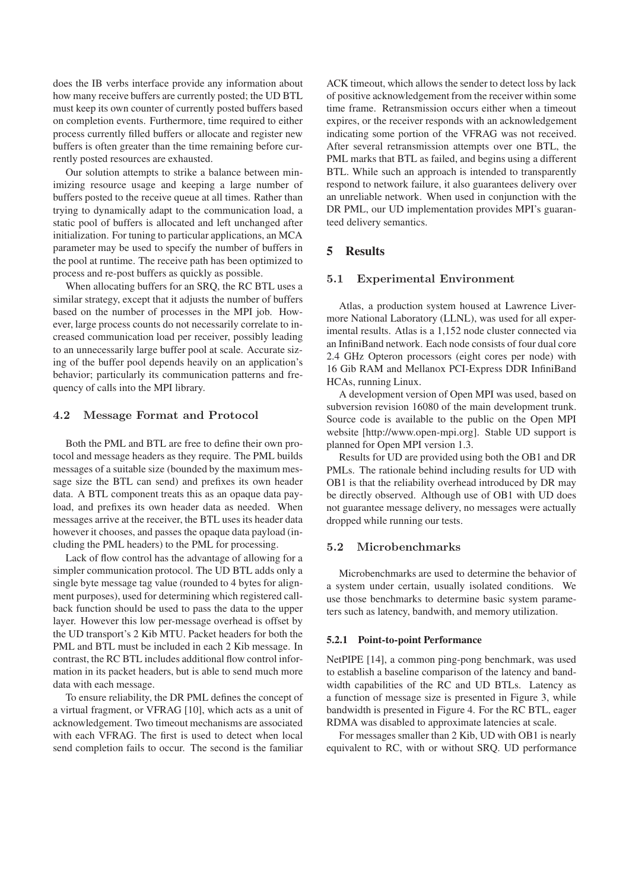does the IB verbs interface provide any information about how many receive buffers are currently posted; the UD BTL must keep its own counter of currently posted buffers based on completion events. Furthermore, time required to either process currently filled buffers or allocate and register new buffers is often greater than the time remaining before currently posted resources are exhausted.

Our solution attempts to strike a balance between minimizing resource usage and keeping a large number of buffers posted to the receive queue at all times. Rather than trying to dynamically adapt to the communication load, a static pool of buffers is allocated and left unchanged after initialization. For tuning to particular applications, an MCA parameter may be used to specify the number of buffers in the pool at runtime. The receive path has been optimized to process and re-post buffers as quickly as possible.

When allocating buffers for an SRQ, the RC BTL uses a similar strategy, except that it adjusts the number of buffers based on the number of processes in the MPI job. However, large process counts do not necessarily correlate to increased communication load per receiver, possibly leading to an unnecessarily large buffer pool at scale. Accurate sizing of the buffer pool depends heavily on an application's behavior; particularly its communication patterns and frequency of calls into the MPI library.

### 4.2 Message Format and Protocol

Both the PML and BTL are free to define their own protocol and message headers as they require. The PML builds messages of a suitable size (bounded by the maximum message size the BTL can send) and prefixes its own header data. A BTL component treats this as an opaque data payload, and prefixes its own header data as needed. When messages arrive at the receiver, the BTL uses its header data however it chooses, and passes the opaque data payload (including the PML headers) to the PML for processing.

Lack of flow control has the advantage of allowing for a simpler communication protocol. The UD BTL adds only a single byte message tag value (rounded to 4 bytes for alignment purposes), used for determining which registered callback function should be used to pass the data to the upper layer. However this low per-message overhead is offset by the UD transport's 2 Kib MTU. Packet headers for both the PML and BTL must be included in each 2 Kib message. In contrast, the RC BTL includes additional flow control information in its packet headers, but is able to send much more data with each message.

To ensure reliability, the DR PML defines the concept of a virtual fragment, or VFRAG [10], which acts as a unit of acknowledgement. Two timeout mechanisms are associated with each VFRAG. The first is used to detect when local send completion fails to occur. The second is the familiar ACK timeout, which allows the sender to detect loss by lack of positive acknowledgement from the receiver within some time frame. Retransmission occurs either when a timeout expires, or the receiver responds with an acknowledgement indicating some portion of the VFRAG was not received. After several retransmission attempts over one BTL, the PML marks that BTL as failed, and begins using a different BTL. While such an approach is intended to transparently respond to network failure, it also guarantees delivery over an unreliable network. When used in conjunction with the DR PML, our UD implementation provides MPI's guaranteed delivery semantics.

#### **5 Results**

#### 5.1 Experimental Environment

Atlas, a production system housed at Lawrence Livermore National Laboratory (LLNL), was used for all experimental results. Atlas is a 1,152 node cluster connected via an InfiniBand network. Each node consists of four dual core 2.4 GHz Opteron processors (eight cores per node) with 16 Gib RAM and Mellanox PCI-Express DDR InfiniBand HCAs, running Linux.

A development version of Open MPI was used, based on subversion revision 16080 of the main development trunk. Source code is available to the public on the Open MPI website [http://www.open-mpi.org]. Stable UD support is planned for Open MPI version 1.3.

Results for UD are provided using both the OB1 and DR PMLs. The rationale behind including results for UD with OB1 is that the reliability overhead introduced by DR may be directly observed. Although use of OB1 with UD does not guarantee message delivery, no messages were actually dropped while running our tests.

### 5.2 Microbenchmarks

Microbenchmarks are used to determine the behavior of a system under certain, usually isolated conditions. We use those benchmarks to determine basic system parameters such as latency, bandwith, and memory utilization.

#### **5.2.1 Point-to-point Performance**

NetPIPE [14], a common ping-pong benchmark, was used to establish a baseline comparison of the latency and bandwidth capabilities of the RC and UD BTLs. Latency as a function of message size is presented in Figure 3, while bandwidth is presented in Figure 4. For the RC BTL, eager RDMA was disabled to approximate latencies at scale.

For messages smaller than 2 Kib, UD with OB1 is nearly equivalent to RC, with or without SRQ. UD performance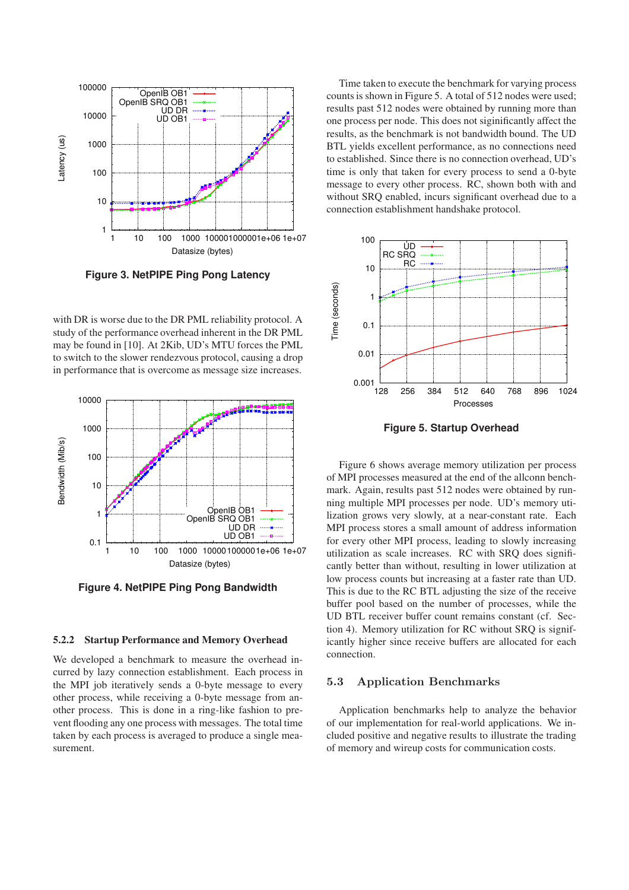

**Figure 3. NetPIPE Ping Pong Latency**

with DR is worse due to the DR PML reliability protocol. A study of the performance overhead inherent in the DR PML may be found in [10]. At 2Kib, UD's MTU forces the PML to switch to the slower rendezvous protocol, causing a drop in performance that is overcome as message size increases.



**Figure 4. NetPIPE Ping Pong Bandwidth**

#### **5.2.2 Startup Performance and Memory Overhead**

We developed a benchmark to measure the overhead incurred by lazy connection establishment. Each process in the MPI job iteratively sends a 0-byte message to every other process, while receiving a 0-byte message from another process. This is done in a ring-like fashion to prevent flooding any one process with messages. The total time taken by each process is averaged to produce a single measurement.

Time taken to execute the benchmark for varying process counts is shown in Figure 5. A total of 512 nodes were used; results past 512 nodes were obtained by running more than one process per node. This does not siginificantly affect the results, as the benchmark is not bandwidth bound. The UD BTL yields excellent performance, as no connections need to established. Since there is no connection overhead, UD's time is only that taken for every process to send a 0-byte message to every other process. RC, shown both with and without SRQ enabled, incurs significant overhead due to a connection establishment handshake protocol.



**Figure 5. Startup Overhead**

Figure 6 shows average memory utilization per process of MPI processes measured at the end of the allconn benchmark. Again, results past 512 nodes were obtained by running multiple MPI processes per node. UD's memory utilization grows very slowly, at a near-constant rate. Each MPI process stores a small amount of address information for every other MPI process, leading to slowly increasing utilization as scale increases. RC with SRQ does significantly better than without, resulting in lower utilization at low process counts but increasing at a faster rate than UD. This is due to the RC BTL adjusting the size of the receive buffer pool based on the number of processes, while the UD BTL receiver buffer count remains constant (cf. Section 4). Memory utilization for RC without SRQ is significantly higher since receive buffers are allocated for each connection.

#### 5.3 Application Benchmarks

Application benchmarks help to analyze the behavior of our implementation for real-world applications. We included positive and negative results to illustrate the trading of memory and wireup costs for communication costs.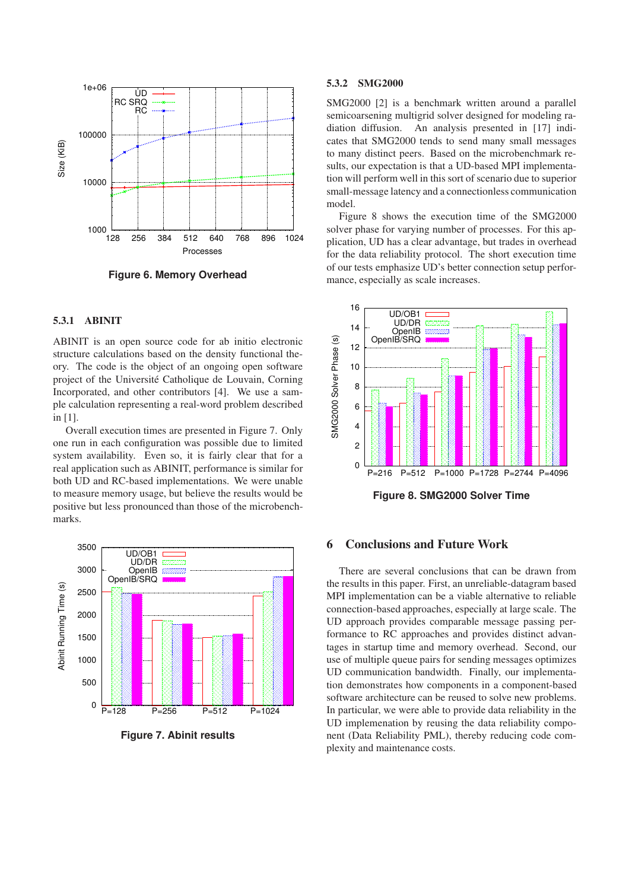

**Figure 6. Memory Overhead**

## **5.3.1 ABINIT**

ABINIT is an open source code for ab initio electronic structure calculations based on the density functional theory. The code is the object of an ongoing open software project of the Université Catholique de Louvain, Corning Incorporated, and other contributors [4]. We use a sample calculation representing a real-word problem described in [1].

Overall execution times are presented in Figure 7. Only one run in each configuration was possible due to limited system availability. Even so, it is fairly clear that for a real application such as ABINIT, performance is similar for both UD and RC-based implementations. We were unable to measure memory usage, but believe the results would be positive but less pronounced than those of the microbenchmarks.



**Figure 7. Abinit results**

#### **5.3.2 SMG2000**

SMG2000 [2] is a benchmark written around a parallel semicoarsening multigrid solver designed for modeling radiation diffusion. An analysis presented in [17] indicates that SMG2000 tends to send many small messages to many distinct peers. Based on the microbenchmark results, our expectation is that a UD-based MPI implementation will perform well in this sort of scenario due to superior small-message latency and a connectionless communication model.

Figure 8 shows the execution time of the SMG2000 solver phase for varying number of processes. For this application, UD has a clear advantage, but trades in overhead for the data reliability protocol. The short execution time of our tests emphasize UD's better connection setup performance, especially as scale increases.



### **6 Conclusions and Future Work**

There are several conclusions that can be drawn from the results in this paper. First, an unreliable-datagram based MPI implementation can be a viable alternative to reliable connection-based approaches, especially at large scale. The UD approach provides comparable message passing performance to RC approaches and provides distinct advantages in startup time and memory overhead. Second, our use of multiple queue pairs for sending messages optimizes UD communication bandwidth. Finally, our implementation demonstrates how components in a component-based software architecture can be reused to solve new problems. In particular, we were able to provide data reliability in the UD implemenation by reusing the data reliability component (Data Reliability PML), thereby reducing code complexity and maintenance costs.